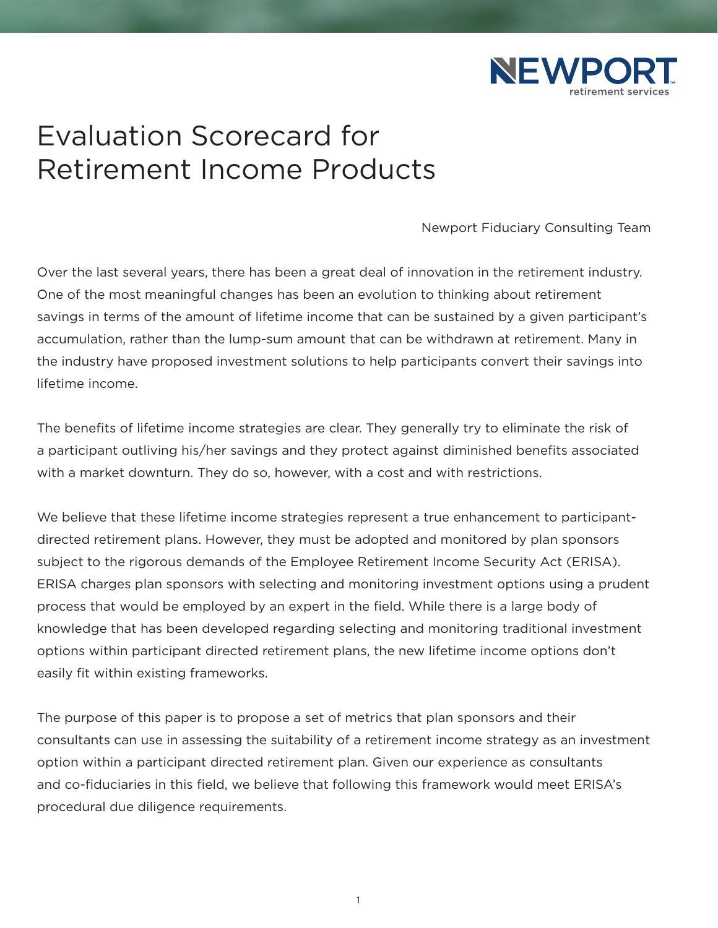

# Evaluation Scorecard for Retirement Income Products

Newport Fiduciary Consulting Team

Over the last several years, there has been a great deal of innovation in the retirement industry. One of the most meaningful changes has been an evolution to thinking about retirement savings in terms of the amount of lifetime income that can be sustained by a given participant's accumulation, rather than the lump-sum amount that can be withdrawn at retirement. Many in the industry have proposed investment solutions to help participants convert their savings into lifetime income.

The benefits of lifetime income strategies are clear. They generally try to eliminate the risk of a participant outliving his/her savings and they protect against diminished benefits associated with a market downturn. They do so, however, with a cost and with restrictions.

We believe that these lifetime income strategies represent a true enhancement to participantdirected retirement plans. However, they must be adopted and monitored by plan sponsors subject to the rigorous demands of the Employee Retirement Income Security Act (ERISA). ERISA charges plan sponsors with selecting and monitoring investment options using a prudent process that would be employed by an expert in the field. While there is a large body of knowledge that has been developed regarding selecting and monitoring traditional investment options within participant directed retirement plans, the new lifetime income options don't easily fit within existing frameworks.

The purpose of this paper is to propose a set of metrics that plan sponsors and their consultants can use in assessing the suitability of a retirement income strategy as an investment option within a participant directed retirement plan. Given our experience as consultants and co-fiduciaries in this field, we believe that following this framework would meet ERISA's procedural due diligence requirements.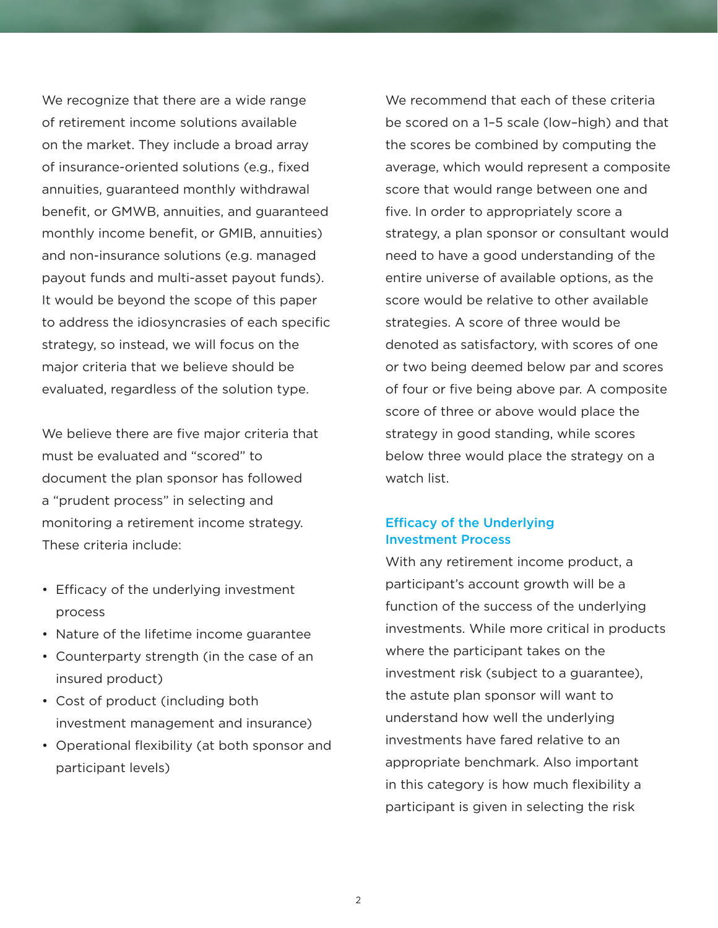We recognize that there are a wide range of retirement income solutions available on the market. They include a broad array of insurance-oriented solutions (e.g., fixed annuities, guaranteed monthly withdrawal benefit, or GMWB, annuities, and guaranteed monthly income benefit, or GMIB, annuities) and non-insurance solutions (e.g. managed payout funds and multi-asset payout funds). It would be beyond the scope of this paper to address the idiosyncrasies of each specific strategy, so instead, we will focus on the major criteria that we believe should be evaluated, regardless of the solution type.

We believe there are five major criteria that must be evaluated and "scored" to document the plan sponsor has followed a "prudent process" in selecting and monitoring a retirement income strategy. These criteria include:

- Efficacy of the underlying investment process
- Nature of the lifetime income guarantee
- Counterparty strength (in the case of an insured product)
- Cost of product (including both investment management and insurance)
- Operational flexibility (at both sponsor and participant levels)

We recommend that each of these criteria be scored on a 1–5 scale (low–high) and that the scores be combined by computing the average, which would represent a composite score that would range between one and five. In order to appropriately score a strategy, a plan sponsor or consultant would need to have a good understanding of the entire universe of available options, as the score would be relative to other available strategies. A score of three would be denoted as satisfactory, with scores of one or two being deemed below par and scores of four or five being above par. A composite score of three or above would place the strategy in good standing, while scores below three would place the strategy on a watch list.

# Efficacy of the Underlying Investment Process

With any retirement income product, a participant's account growth will be a function of the success of the underlying investments. While more critical in products where the participant takes on the investment risk (subject to a guarantee), the astute plan sponsor will want to understand how well the underlying investments have fared relative to an appropriate benchmark. Also important in this category is how much flexibility a participant is given in selecting the risk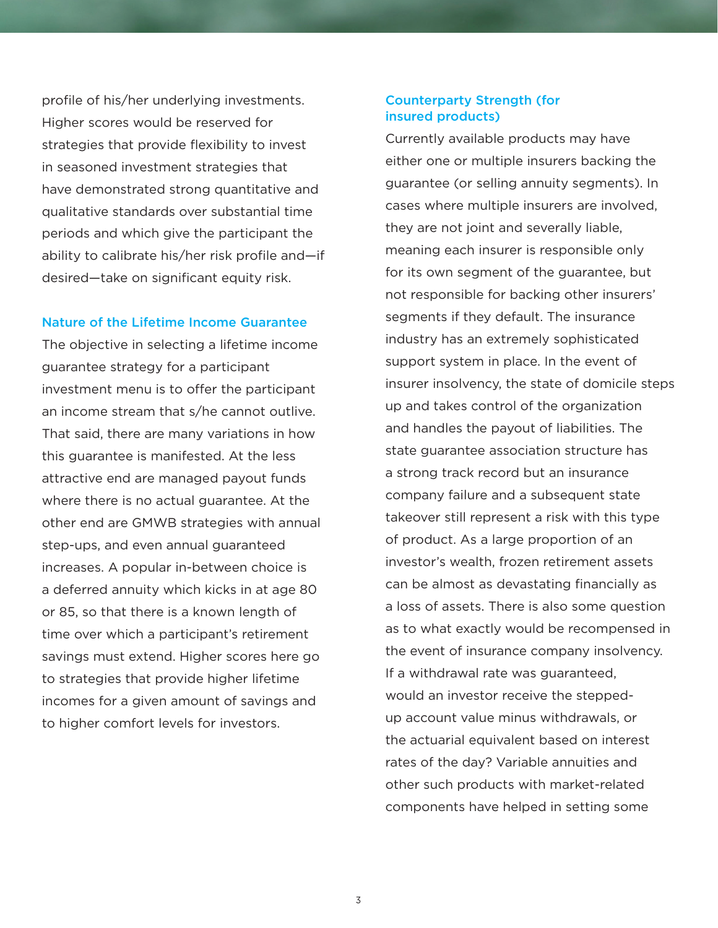profile of his/her underlying investments. Higher scores would be reserved for strategies that provide flexibility to invest in seasoned investment strategies that have demonstrated strong quantitative and qualitative standards over substantial time periods and which give the participant the ability to calibrate his/her risk profile and—if desired—take on significant equity risk.

#### Nature of the Lifetime Income Guarantee

The objective in selecting a lifetime income guarantee strategy for a participant investment menu is to offer the participant an income stream that s/he cannot outlive. That said, there are many variations in how this guarantee is manifested. At the less attractive end are managed payout funds where there is no actual quarantee. At the other end are GMWB strategies with annual step-ups, and even annual guaranteed increases. A popular in-between choice is a deferred annuity which kicks in at age 80 or 85, so that there is a known length of time over which a participant's retirement savings must extend. Higher scores here go to strategies that provide higher lifetime incomes for a given amount of savings and to higher comfort levels for investors.

## Counterparty Strength (for insured products)

Currently available products may have either one or multiple insurers backing the guarantee (or selling annuity segments). In cases where multiple insurers are involved, they are not joint and severally liable, meaning each insurer is responsible only for its own segment of the guarantee, but not responsible for backing other insurers' segments if they default. The insurance industry has an extremely sophisticated support system in place. In the event of insurer insolvency, the state of domicile steps up and takes control of the organization and handles the payout of liabilities. The state guarantee association structure has a strong track record but an insurance company failure and a subsequent state takeover still represent a risk with this type of product. As a large proportion of an investor's wealth, frozen retirement assets can be almost as devastating financially as a loss of assets. There is also some question as to what exactly would be recompensed in the event of insurance company insolvency. If a withdrawal rate was guaranteed, would an investor receive the steppedup account value minus withdrawals, or the actuarial equivalent based on interest rates of the day? Variable annuities and other such products with market-related components have helped in setting some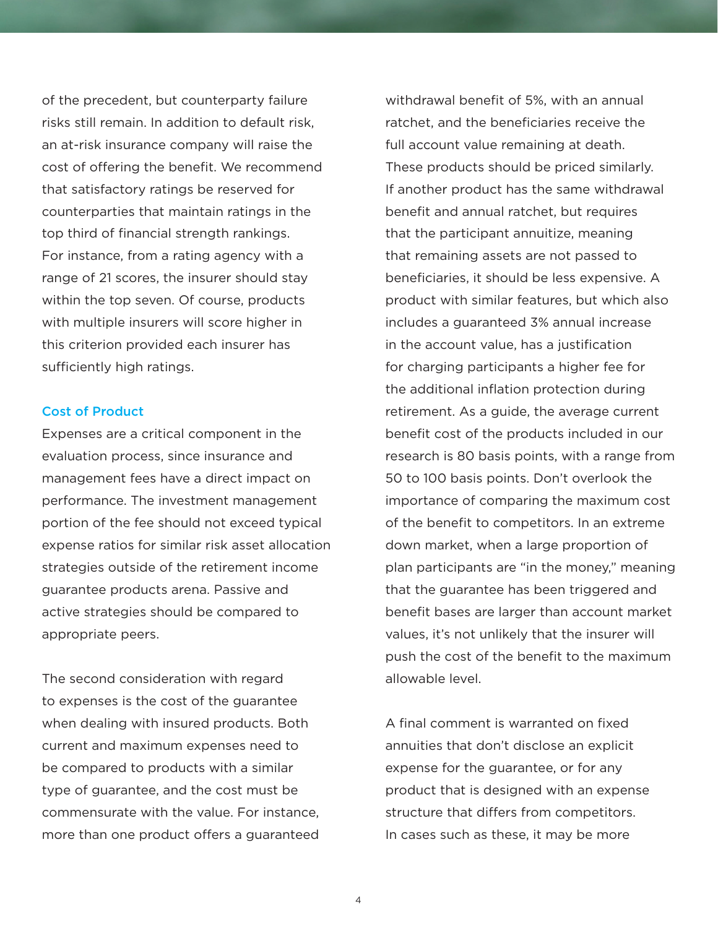of the precedent, but counterparty failure risks still remain. In addition to default risk, an at-risk insurance company will raise the cost of offering the benefit. We recommend that satisfactory ratings be reserved for counterparties that maintain ratings in the top third of financial strength rankings. For instance, from a rating agency with a range of 21 scores, the insurer should stay within the top seven. Of course, products with multiple insurers will score higher in this criterion provided each insurer has sufficiently high ratings.

#### Cost of Product

Expenses are a critical component in the evaluation process, since insurance and management fees have a direct impact on performance. The investment management portion of the fee should not exceed typical expense ratios for similar risk asset allocation strategies outside of the retirement income guarantee products arena. Passive and active strategies should be compared to appropriate peers.

The second consideration with regard to expenses is the cost of the guarantee when dealing with insured products. Both current and maximum expenses need to be compared to products with a similar type of guarantee, and the cost must be commensurate with the value. For instance, more than one product offers a guaranteed withdrawal benefit of 5%, with an annual ratchet, and the beneficiaries receive the full account value remaining at death. These products should be priced similarly. If another product has the same withdrawal benefit and annual ratchet, but requires that the participant annuitize, meaning that remaining assets are not passed to beneficiaries, it should be less expensive. A product with similar features, but which also includes a guaranteed 3% annual increase in the account value, has a justification for charging participants a higher fee for the additional inflation protection during retirement. As a guide, the average current benefit cost of the products included in our research is 80 basis points, with a range from 50 to 100 basis points. Don't overlook the importance of comparing the maximum cost of the benefit to competitors. In an extreme down market, when a large proportion of plan participants are "in the money," meaning that the guarantee has been triggered and benefit bases are larger than account market values, it's not unlikely that the insurer will push the cost of the benefit to the maximum allowable level.

A final comment is warranted on fixed annuities that don't disclose an explicit expense for the guarantee, or for any product that is designed with an expense structure that differs from competitors. In cases such as these, it may be more

4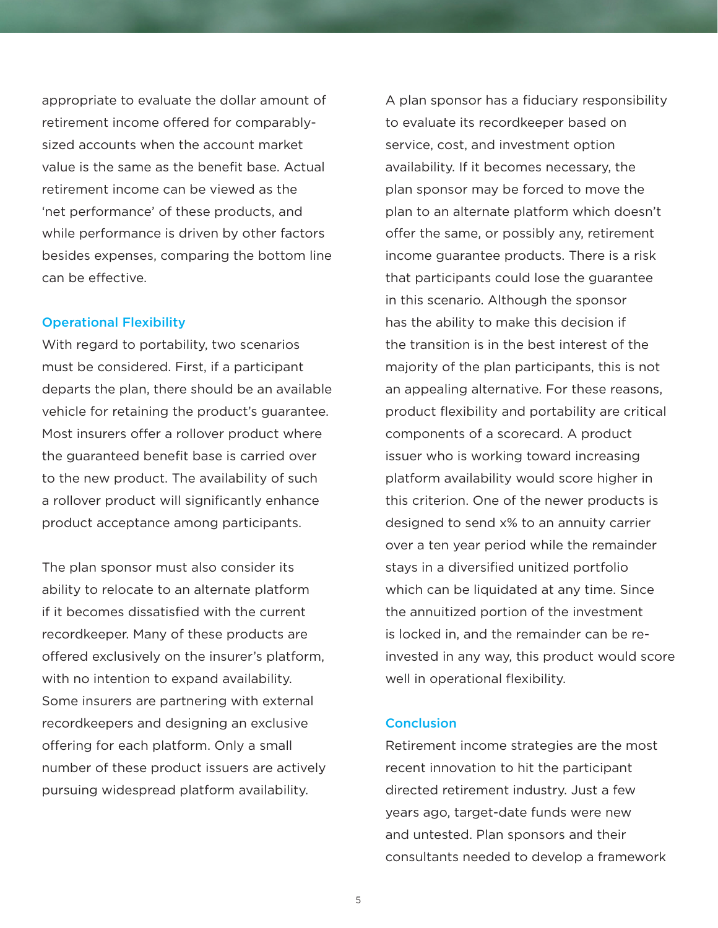appropriate to evaluate the dollar amount of retirement income offered for comparablysized accounts when the account market value is the same as the benefit base. Actual retirement income can be viewed as the 'net performance' of these products, and while performance is driven by other factors besides expenses, comparing the bottom line can be effective.

### Operational Flexibility

With regard to portability, two scenarios must be considered. First, if a participant departs the plan, there should be an available vehicle for retaining the product's guarantee. Most insurers offer a rollover product where the guaranteed benefit base is carried over to the new product. The availability of such a rollover product will significantly enhance product acceptance among participants.

The plan sponsor must also consider its ability to relocate to an alternate platform if it becomes dissatisfied with the current recordkeeper. Many of these products are offered exclusively on the insurer's platform, with no intention to expand availability. Some insurers are partnering with external recordkeepers and designing an exclusive offering for each platform. Only a small number of these product issuers are actively pursuing widespread platform availability.

A plan sponsor has a fiduciary responsibility to evaluate its recordkeeper based on service, cost, and investment option availability. If it becomes necessary, the plan sponsor may be forced to move the plan to an alternate platform which doesn't offer the same, or possibly any, retirement income guarantee products. There is a risk that participants could lose the guarantee in this scenario. Although the sponsor has the ability to make this decision if the transition is in the best interest of the majority of the plan participants, this is not an appealing alternative. For these reasons, product flexibility and portability are critical components of a scorecard. A product issuer who is working toward increasing platform availability would score higher in this criterion. One of the newer products is designed to send x% to an annuity carrier over a ten year period while the remainder stays in a diversified unitized portfolio which can be liquidated at any time. Since the annuitized portion of the investment is locked in, and the remainder can be reinvested in any way, this product would score well in operational flexibility.

## **Conclusion**

Retirement income strategies are the most recent innovation to hit the participant directed retirement industry. Just a few years ago, target-date funds were new and untested. Plan sponsors and their consultants needed to develop a framework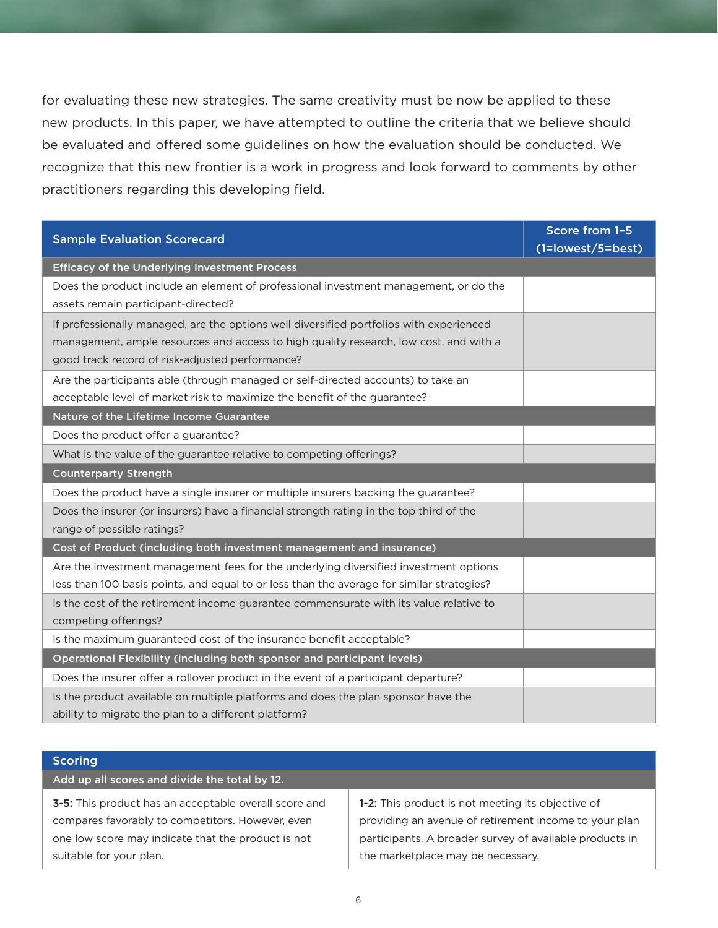for evaluating these new strategies. The same creativity must be now be applied to these new products. In this paper, we have attempted to outline the criteria that we believe should be evaluated and offered some guidelines on how the evaluation should be conducted. We recognize that this new frontier is a work in progress and look forward to comments by other practitioners regarding this developing field.

| <b>Sample Evaluation Scorecard</b>                                                                                                                                                                                                  | Score from 1-5<br>(1=lowest/5=best) |
|-------------------------------------------------------------------------------------------------------------------------------------------------------------------------------------------------------------------------------------|-------------------------------------|
| <b>Efficacy of the Underlying Investment Process</b>                                                                                                                                                                                |                                     |
| Does the product include an element of professional investment management, or do the<br>assets remain participant-directed?                                                                                                         |                                     |
| If professionally managed, are the options well diversified portfolios with experienced<br>management, ample resources and access to high quality research, low cost, and with a<br>good track record of risk-adjusted performance? |                                     |
| Are the participants able (through managed or self-directed accounts) to take an<br>acceptable level of market risk to maximize the benefit of the guarantee?                                                                       |                                     |
| Nature of the Lifetime Income Guarantee                                                                                                                                                                                             |                                     |
| Does the product offer a guarantee?                                                                                                                                                                                                 |                                     |
| What is the value of the guarantee relative to competing offerings?                                                                                                                                                                 |                                     |
| <b>Counterparty Strength</b>                                                                                                                                                                                                        |                                     |
| Does the product have a single insurer or multiple insurers backing the guarantee?                                                                                                                                                  |                                     |
| Does the insurer (or insurers) have a financial strength rating in the top third of the<br>range of possible ratings?                                                                                                               |                                     |
| Cost of Product (including both investment management and insurance)                                                                                                                                                                |                                     |
| Are the investment management fees for the underlying diversified investment options<br>less than 100 basis points, and equal to or less than the average for similar strategies?                                                   |                                     |
| Is the cost of the retirement income guarantee commensurate with its value relative to<br>competing offerings?                                                                                                                      |                                     |
| Is the maximum guaranteed cost of the insurance benefit acceptable?                                                                                                                                                                 |                                     |
| Operational Flexibility (including both sponsor and participant levels)                                                                                                                                                             |                                     |
| Does the insurer offer a rollover product in the event of a participant departure?                                                                                                                                                  |                                     |
| Is the product available on multiple platforms and does the plan sponsor have the<br>ability to migrate the plan to a different platform?                                                                                           |                                     |

| <b>Scoring</b>                                        |                                                         |
|-------------------------------------------------------|---------------------------------------------------------|
| Add up all scores and divide the total by 12.         |                                                         |
| 3-5: This product has an acceptable overall score and | 1-2: This product is not meeting its objective of       |
| compares favorably to competitors. However, even      | providing an avenue of retirement income to your plan   |
| one low score may indicate that the product is not    | participants. A broader survey of available products in |
| suitable for your plan.                               | the marketplace may be necessary.                       |